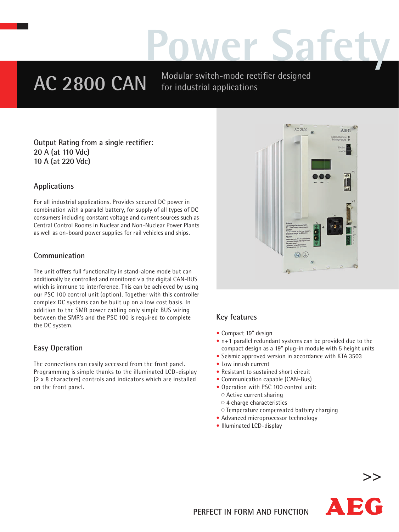# **Power Safety**

AC 2800 CAN Modular switch-mode rectifier designed for industrial applications

**Output Rating from a single rectifier: 20 A (at 110 Vdc) 10 A (at 220 Vdc)** 

#### **Applications**

For all industrial applications. Provides secured DC power in combination with a parallel battery, for supply of all types of DC consumers including constant voltage and current sources such as Central Control Rooms in Nuclear and Non-Nuclear Power Plants as well as on-board power supplies for rail vehicles and ships.

#### **Communication**

The unit offers full functionality in stand-alone mode but can additionally be controlled and monitored via the digital CAN-BUS which is immune to interference. This can be achieved by using our PSC 100 control unit (option). Together with this controller complex DC systems can be built up on a low cost basis. In addition to the SMR power cabling only simple BUS wiring between the SMR's and the PSC 100 is required to complete the DC system.

#### **Easy Operation**

The connections can easily accessed from the front panel. Programming is simple thanks to the illuminated LCD-display (2 x 8 characters) controls and indicators which are installed on the front panel.



### **Key features**

- Compact 19" design
- n + 1 parallel redundant systems can be provided due to the compact design as a 19" plug-in module with 5 height units
- Seismic approved version in accordance with KTA 3503
- Low inrush current
- Resistant to sustained short circuit
- Communication capable (CAN-Bus)
- Operation with PSC 100 control unit:  $\circ$  Active current sharing
	- $\circ$  4 charge characteristics
- Temperature compensated battery charging
- Advanced microprocessor technology
- Illuminated LCD-display



**>>**